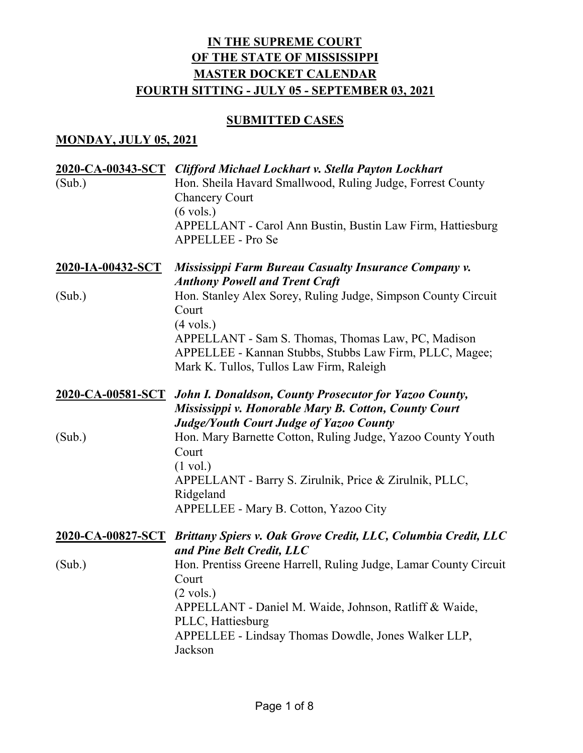## **SUBMITTED CASES**

### **MONDAY, JULY 05, 2021**

|                   | 2020-CA-00343-SCT Clifford Michael Lockhart v. Stella Payton Lockhart                                                                                                            |
|-------------------|----------------------------------------------------------------------------------------------------------------------------------------------------------------------------------|
| (Sub.)            | Hon. Sheila Havard Smallwood, Ruling Judge, Forrest County<br><b>Chancery Court</b>                                                                                              |
|                   | $(6 \text{ vols.})$                                                                                                                                                              |
|                   | APPELLANT - Carol Ann Bustin, Bustin Law Firm, Hattiesburg<br>APPELLEE - Pro Se                                                                                                  |
| 2020-IA-00432-SCT | <b>Mississippi Farm Bureau Casualty Insurance Company v.</b><br><b>Anthony Powell and Trent Craft</b>                                                                            |
| (Sub.)            | Hon. Stanley Alex Sorey, Ruling Judge, Simpson County Circuit<br>Court                                                                                                           |
|                   | $(4 \text{ vols.})$<br>APPELLANT - Sam S. Thomas, Thomas Law, PC, Madison<br>APPELLEE - Kannan Stubbs, Stubbs Law Firm, PLLC, Magee;<br>Mark K. Tullos, Tullos Law Firm, Raleigh |
|                   | 2020-CA-00581-SCT John I. Donaldson, County Prosecutor for Yazoo County,<br>Mississippi v. Honorable Mary B. Cotton, County Court                                                |
| (Sub.)            | <b>Judge/Youth Court Judge of Yazoo County</b><br>Hon. Mary Barnette Cotton, Ruling Judge, Yazoo County Youth<br>Court<br>$(1 \text{ vol.})$                                     |
|                   | APPELLANT - Barry S. Zirulnik, Price & Zirulnik, PLLC,<br>Ridgeland                                                                                                              |
|                   | APPELLEE - Mary B. Cotton, Yazoo City                                                                                                                                            |
|                   | 2020-CA-00827-SCT Brittany Spiers v. Oak Grove Credit, LLC, Columbia Credit, LLC<br>and Pine Belt Credit, LLC                                                                    |
| (Sub.)            | Hon. Prentiss Greene Harrell, Ruling Judge, Lamar County Circuit<br>Court<br>$(2 \text{ vols.})$                                                                                 |
|                   | APPELLANT - Daniel M. Waide, Johnson, Ratliff & Waide,<br>PLLC, Hattiesburg                                                                                                      |
|                   | APPELLEE - Lindsay Thomas Dowdle, Jones Walker LLP,<br>Jackson                                                                                                                   |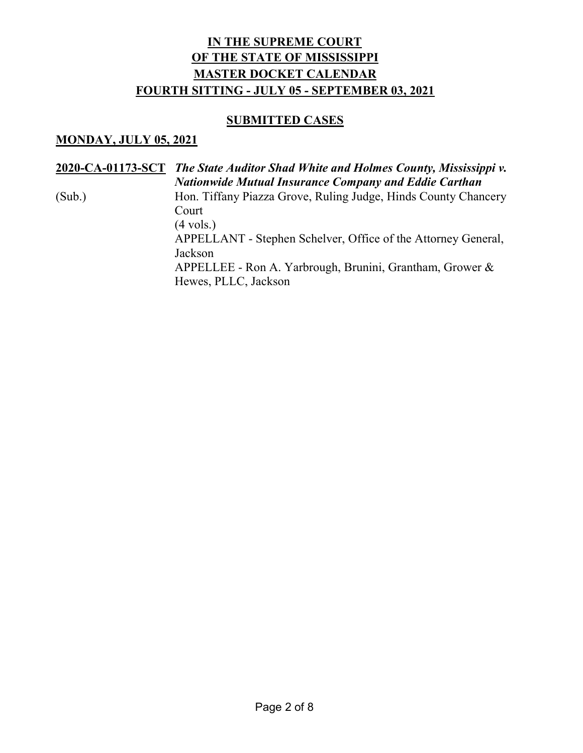#### **SUBMITTED CASES**

### **MONDAY, JULY 05, 2021**

**2020-CA-01173-SCT** *The State Auditor Shad White and Holmes County, Mississippi v. Nationwide Mutual Insurance Company and Eddie Carthan* (Sub.) Hon. Tiffany Piazza Grove, Ruling Judge, Hinds County Chancery Court  $(4 \text{ vols.})$ APPELLANT - Stephen Schelver, Office of the Attorney General, Jackson APPELLEE - Ron A. Yarbrough, Brunini, Grantham, Grower & Hewes, PLLC, Jackson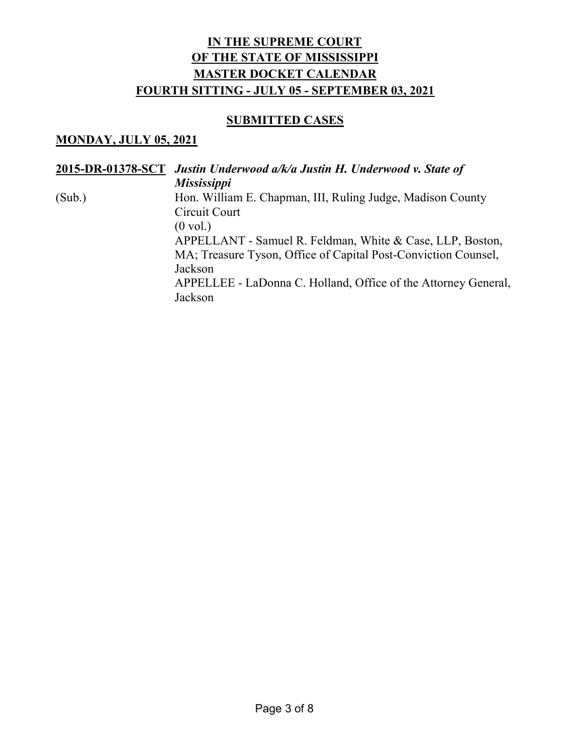## **SUBMITTED CASES**

### **MONDAY, JULY 05, 2021**

|        | 2015-DR-01378-SCT Justin Underwood a/k/a Justin H. Underwood v. State of |
|--------|--------------------------------------------------------------------------|
|        | <b>Mississippi</b>                                                       |
| (Sub.) | Hon. William E. Chapman, III, Ruling Judge, Madison County               |
|        | Circuit Court                                                            |
|        | $(0 \text{ vol.})$                                                       |
|        | APPELLANT - Samuel R. Feldman, White & Case, LLP, Boston,                |
|        | MA; Treasure Tyson, Office of Capital Post-Conviction Counsel,           |
|        | Jackson                                                                  |
|        | APPELLEE - LaDonna C. Holland, Office of the Attorney General,           |
|        | Jackson                                                                  |
|        |                                                                          |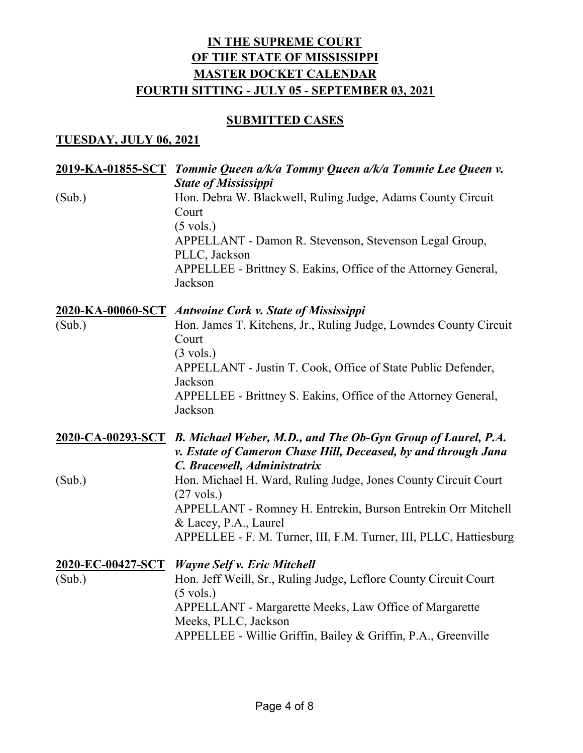## **SUBMITTED CASES**

### **TUESDAY, JULY 06, 2021**

|                             | 2019-KA-01855-SCT Tommie Queen a/k/a Tommy Queen a/k/a Tommie Lee Queen v.                                                                                                                                                                                                       |
|-----------------------------|----------------------------------------------------------------------------------------------------------------------------------------------------------------------------------------------------------------------------------------------------------------------------------|
| (Sub.)                      | <b>State of Mississippi</b><br>Hon. Debra W. Blackwell, Ruling Judge, Adams County Circuit<br>Court<br>$(5 \text{ vols.})$<br>APPELLANT - Damon R. Stevenson, Stevenson Legal Group,<br>PLLC, Jackson<br>APPELLEE - Brittney S. Eakins, Office of the Attorney General,          |
| (Sub.)                      | Jackson<br>2020-KA-00060-SCT Antwoine Cork v. State of Mississippi<br>Hon. James T. Kitchens, Jr., Ruling Judge, Lowndes County Circuit<br>Court<br>$(3 \text{ vols.})$                                                                                                          |
|                             | APPELLANT - Justin T. Cook, Office of State Public Defender,<br>Jackson<br>APPELLEE - Brittney S. Eakins, Office of the Attorney General,<br>Jackson                                                                                                                             |
|                             | 2020-CA-00293-SCT B. Michael Weber, M.D., and The Ob-Gyn Group of Laurel, P.A.<br>v. Estate of Cameron Chase Hill, Deceased, by and through Jana<br>C. Bracewell, Administratrix                                                                                                 |
| (Sub.)                      | Hon. Michael H. Ward, Ruling Judge, Jones County Circuit Court<br>$(27 \text{ vols.})$<br>APPELLANT - Romney H. Entrekin, Burson Entrekin Orr Mitchell<br>& Lacey, P.A., Laurel<br>APPELLEE - F. M. Turner, III, F.M. Turner, III, PLLC, Hattiesburg                             |
| 2020-EC-00427-SCT<br>(Sub.) | <b>Wayne Self v. Eric Mitchell</b><br>Hon. Jeff Weill, Sr., Ruling Judge, Leflore County Circuit Court<br>$(5 \text{ vols.})$<br>APPELLANT - Margarette Meeks, Law Office of Margarette<br>Meeks, PLLC, Jackson<br>APPELLEE - Willie Griffin, Bailey & Griffin, P.A., Greenville |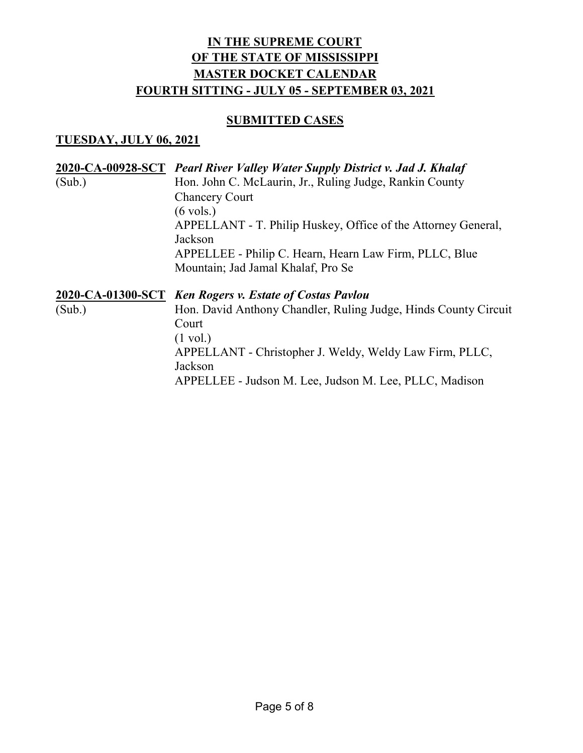## **SUBMITTED CASES**

### **TUESDAY, JULY 06, 2021**

|        | 2020-CA-00928-SCT Pearl River Valley Water Supply District v. Jad J. Khalaf |
|--------|-----------------------------------------------------------------------------|
| (Sub.) | Hon. John C. McLaurin, Jr., Ruling Judge, Rankin County                     |
|        | <b>Chancery Court</b>                                                       |
|        | $(6 \text{ vols.})$                                                         |
|        | APPELLANT - T. Philip Huskey, Office of the Attorney General,               |
|        | Jackson                                                                     |
|        | APPELLEE - Philip C. Hearn, Hearn Law Firm, PLLC, Blue                      |
|        | Mountain; Jad Jamal Khalaf, Pro Se                                          |
|        |                                                                             |
|        |                                                                             |
|        | 2020-CA-01300-SCT Ken Rogers v. Estate of Costas Pavlou                     |
| (Sub.) | Hon. David Anthony Chandler, Ruling Judge, Hinds County Circuit             |
|        | Court                                                                       |
|        | $(1 \text{ vol.})$                                                          |
|        | APPELLANT - Christopher J. Weldy, Weldy Law Firm, PLLC,                     |
|        | Jackson                                                                     |
|        | APPELLEE - Judson M. Lee, Judson M. Lee, PLLC, Madison                      |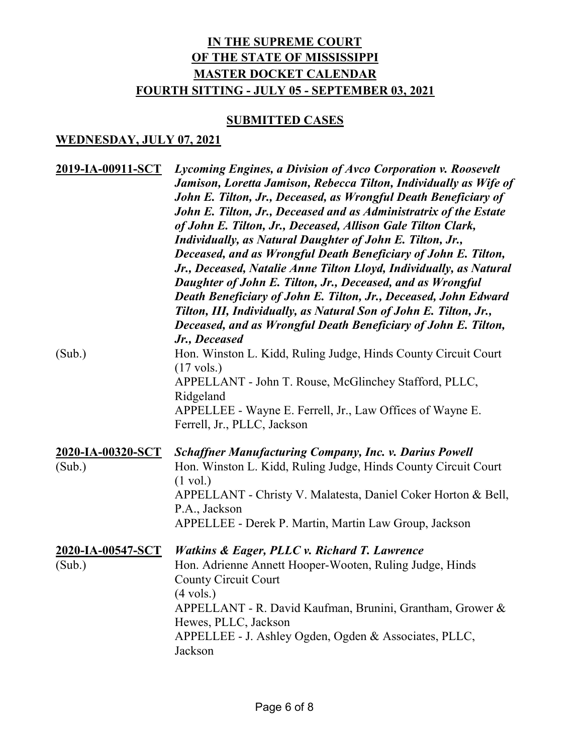## **SUBMITTED CASES**

### **WEDNESDAY, JULY 07, 2021**

| 2019-IA-00911-SCT           | Lycoming Engines, a Division of Avco Corporation v. Roosevelt<br>Jamison, Loretta Jamison, Rebecca Tilton, Individually as Wife of<br>John E. Tilton, Jr., Deceased, as Wrongful Death Beneficiary of<br>John E. Tilton, Jr., Deceased and as Administratrix of the Estate<br>of John E. Tilton, Jr., Deceased, Allison Gale Tilton Clark,<br>Individually, as Natural Daughter of John E. Tilton, Jr.,<br>Deceased, and as Wrongful Death Beneficiary of John E. Tilton,<br>Jr., Deceased, Natalie Anne Tilton Lloyd, Individually, as Natural<br>Daughter of John E. Tilton, Jr., Deceased, and as Wrongful<br>Death Beneficiary of John E. Tilton, Jr., Deceased, John Edward<br>Tilton, III, Individually, as Natural Son of John E. Tilton, Jr.,<br>Deceased, and as Wrongful Death Beneficiary of John E. Tilton,<br>Jr., Deceased |
|-----------------------------|------------------------------------------------------------------------------------------------------------------------------------------------------------------------------------------------------------------------------------------------------------------------------------------------------------------------------------------------------------------------------------------------------------------------------------------------------------------------------------------------------------------------------------------------------------------------------------------------------------------------------------------------------------------------------------------------------------------------------------------------------------------------------------------------------------------------------------------|
| (Sub.)                      | Hon. Winston L. Kidd, Ruling Judge, Hinds County Circuit Court<br>$(17 \text{ vols.})$<br>APPELLANT - John T. Rouse, McGlinchey Stafford, PLLC,<br>Ridgeland<br>APPELLEE - Wayne E. Ferrell, Jr., Law Offices of Wayne E.<br>Ferrell, Jr., PLLC, Jackson                                                                                                                                                                                                                                                                                                                                                                                                                                                                                                                                                                                 |
| 2020-IA-00320-SCT<br>(Sub.) | <b>Schaffner Manufacturing Company, Inc. v. Darius Powell</b><br>Hon. Winston L. Kidd, Ruling Judge, Hinds County Circuit Court<br>$(1 \text{ vol.})$<br>APPELLANT - Christy V. Malatesta, Daniel Coker Horton & Bell,<br>P.A., Jackson<br>APPELLEE - Derek P. Martin, Martin Law Group, Jackson                                                                                                                                                                                                                                                                                                                                                                                                                                                                                                                                         |
| 2020-IA-00547-SCT<br>(Sub.) | <b>Watkins &amp; Eager, PLLC v. Richard T. Lawrence</b><br>Hon. Adrienne Annett Hooper-Wooten, Ruling Judge, Hinds<br><b>County Circuit Court</b><br>$(4 \text{ vols.})$<br>APPELLANT - R. David Kaufman, Brunini, Grantham, Grower &<br>Hewes, PLLC, Jackson<br>APPELLEE - J. Ashley Ogden, Ogden & Associates, PLLC,<br>Jackson                                                                                                                                                                                                                                                                                                                                                                                                                                                                                                        |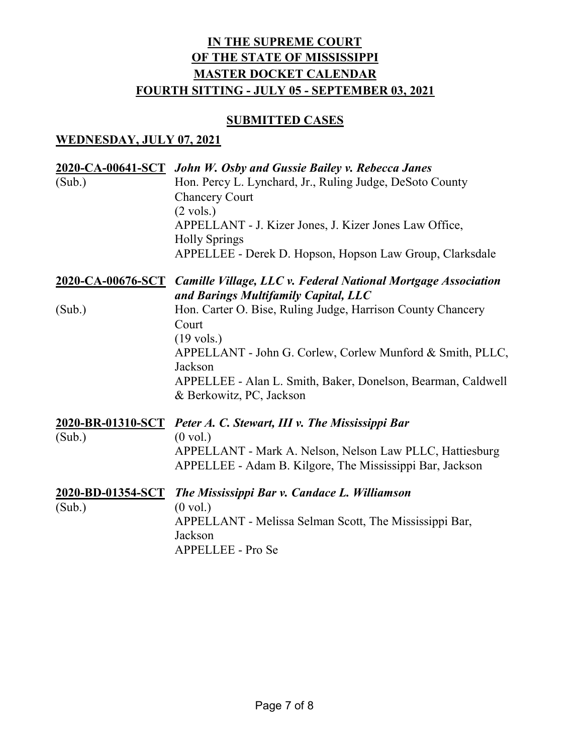## **SUBMITTED CASES**

### **WEDNESDAY, JULY 07, 2021**

| (Sub.)            | 2020-CA-00641-SCT John W. Osby and Gussie Bailey v. Rebecca Janes<br>Hon. Percy L. Lynchard, Jr., Ruling Judge, DeSoto County<br><b>Chancery Court</b>           |
|-------------------|------------------------------------------------------------------------------------------------------------------------------------------------------------------|
|                   | $(2 \text{ vols.})$<br>APPELLANT - J. Kizer Jones, J. Kizer Jones Law Office,<br><b>Holly Springs</b>                                                            |
|                   | APPELLEE - Derek D. Hopson, Hopson Law Group, Clarksdale                                                                                                         |
|                   | 2020-CA-00676-SCT Camille Village, LLC v. Federal National Mortgage Association<br>and Barings Multifamily Capital, LLC                                          |
| (Sub.)            | Hon. Carter O. Bise, Ruling Judge, Harrison County Chancery<br>Court<br>$(19 \text{ vols.})$                                                                     |
|                   | APPELLANT - John G. Corlew, Corlew Munford & Smith, PLLC,<br>Jackson<br>APPELLEE - Alan L. Smith, Baker, Donelson, Bearman, Caldwell<br>& Berkowitz, PC, Jackson |
| 2020-BR-01310-SCT | Peter A. C. Stewart, III v. The Mississippi Bar                                                                                                                  |
| (Sub.)            | $(0 \text{ vol.})$<br>APPELLANT - Mark A. Nelson, Nelson Law PLLC, Hattiesburg<br>APPELLEE - Adam B. Kilgore, The Mississippi Bar, Jackson                       |
| 2020-BD-01354-SCT | The Mississippi Bar v. Candace L. Williamson                                                                                                                     |
| (Sub.)            | $(0 \text{ vol.})$<br>APPELLANT - Melissa Selman Scott, The Mississippi Bar,<br>Jackson<br>APPELLEE - Pro Se                                                     |